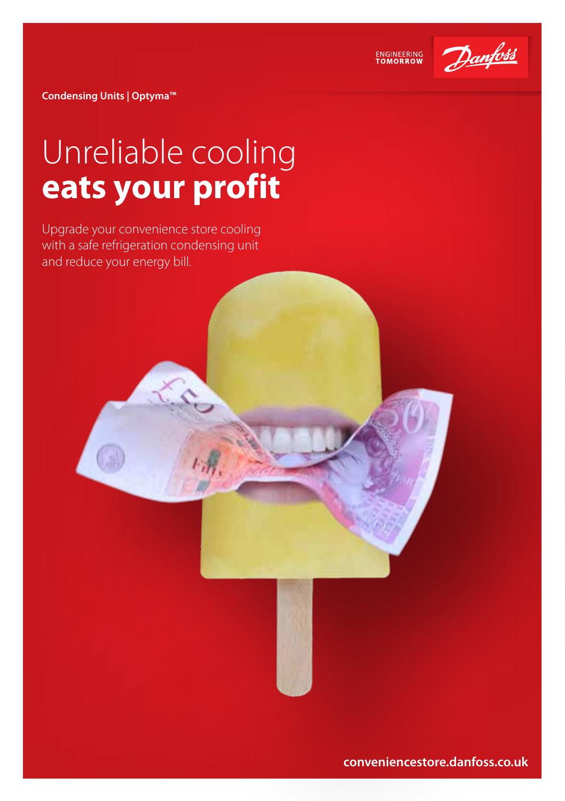

ENGINEERING<br>TOMORROW

**Condensing Units | Optyma™**

## Unreliable cooling **eats your profit**

Upgrade your convenience store cooling with a safe refrigeration condensing unit and reduce your energy bill.

**conveniencestore.danfoss.co.uk**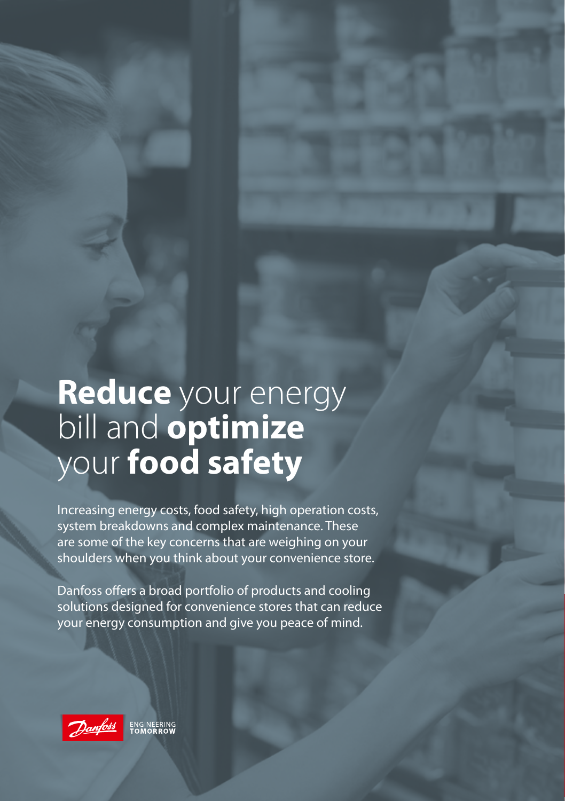## **Reduce** your energy bill and **optimize**  your **food safety**

Increasing energy costs, food safety, high operation costs, system breakdowns and complex maintenance. These are some of the key concerns that are weighing on your shoulders when you think about your convenience store.

Danfoss offers a broad portfolio of products and cooling solutions designed for convenience stores that can reduce your energy consumption and give you peace of mind.

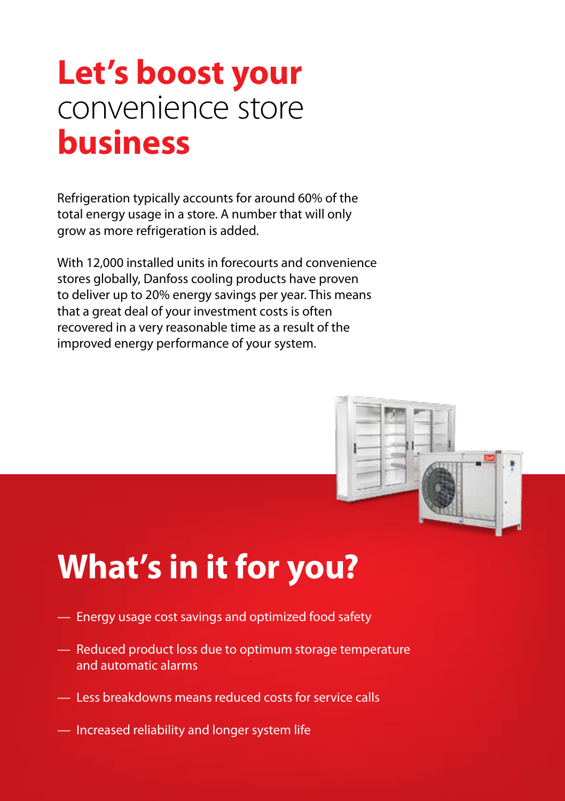### **Let's boost your**  convenience store **business**

Refrigeration typically accounts for around 60% of the total energy usage in a store. A number that will only grow as more refrigeration is added.

With 12,000 installed units in forecourts and convenience stores globally, Danfoss cooling products have proven to deliver up to 20% energy savings per year. This means that a great deal of your investment costs is often recovered in a very reasonable time as a result of the improved energy performance of your system.



# **What's in it for you?**

- Energy usage cost savings and optimized food safety
- Reduced product loss due to optimum storage temperature and automatic alarms
- Less breakdowns means reduced costs for service calls
- Increased reliability and longer system life